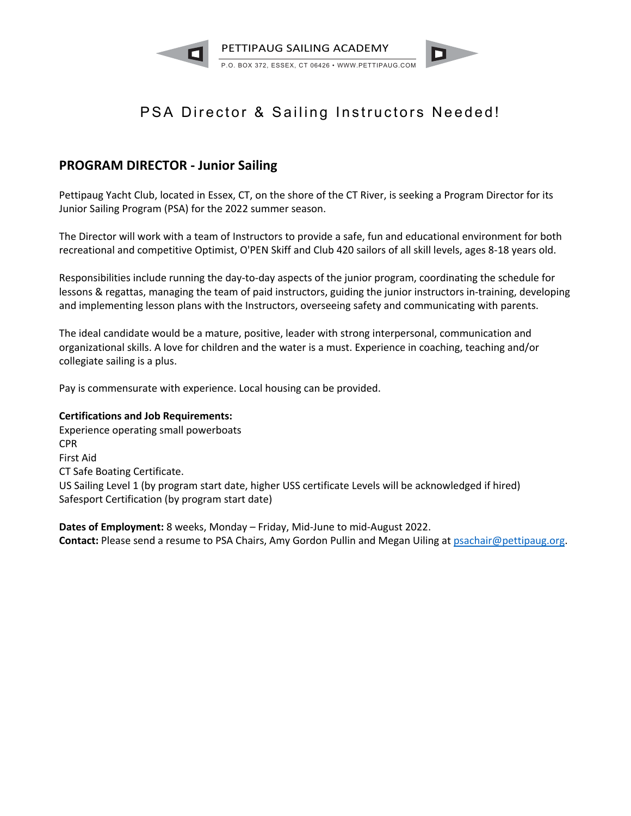

# PSA Director & Sailing Instructors Needed!

# **PROGRAM DIRECTOR - Junior Sailing**

Pettipaug Yacht Club, located in Essex, CT, on the shore of the CT River, is seeking a Program Director for its Junior Sailing Program (PSA) for the 2022 summer season.

The Director will work with a team of Instructors to provide a safe, fun and educational environment for both recreational and competitive Optimist, O'PEN Skiff and Club 420 sailors of all skill levels, ages 8-18 years old.

Responsibilities include running the day-to-day aspects of the junior program, coordinating the schedule for lessons & regattas, managing the team of paid instructors, guiding the junior instructors in-training, developing and implementing lesson plans with the Instructors, overseeing safety and communicating with parents.

The ideal candidate would be a mature, positive, leader with strong interpersonal, communication and organizational skills. A love for children and the water is a must. Experience in coaching, teaching and/or collegiate sailing is a plus.

Pay is commensurate with experience. Local housing can be provided.

### **Certifications and Job Requirements:**

Experience operating small powerboats CPR First Aid CT Safe Boating Certificate. US Sailing Level 1 (by program start date, higher USS certificate Levels will be acknowledged if hired) Safesport Certification (by program start date)

**Dates of Employment:** 8 weeks, Monday – Friday, Mid-June to mid-August 2022. **Contact:** Please send a resume to PSA Chairs, Amy Gordon Pullin and Megan Uiling at psachair@pettipaug.org.